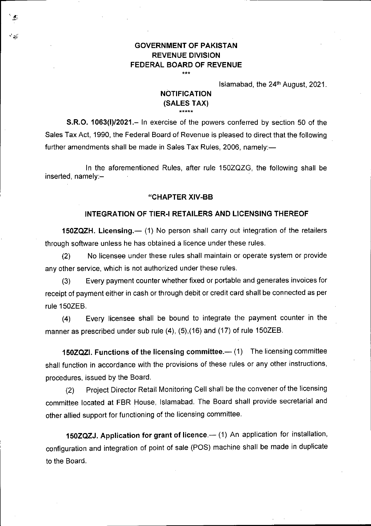## **GOVERNMENT OF PAKISTAN REVENUE DIVISION FEDERAL BOARD OF REVENUE**  \*\*\*

Islamabad, the  $24<sup>th</sup>$  August, 2021.

## **NOTIFICATION (SALES TAX)**  \*\*\*\*\*

**S.R.O. 1063(1)/2021.—** In exercise of the powers conferred by section 50 of the Sales Tax Act, 1990, the Federal Board of Revenue is pleased to direct that the following further amendments shall be made in Sales Tax Rules, 2006, namely:—

In the aforementioned Rules, after rule 150ZQZG, the following shall be inserted, namely:—

## **"CHAPTER XIV-BB**

## **INTEGRATION OF TIER-I RETAILERS AND LICENSING THEREOF**

**150ZQZH. Licensing.—** (1) No person shall carry out integration of the retailers through software unless he has obtained a licence under these rules.

No licensee under these rules shall maintain or operate system or provide  $(2)$ any other service, which is not authorized under these rules.

Every payment counter whether fixed or portable and generates invoices for  $(3)$ receipt of payment either in cash or through debit or credit card shall be connected as per rule 150ZEB.

 $(4)$ Every licensee shall be bound to integrate the payment counter in the manner as prescribed under sub rule **(4),** (5),(16) and (17) of rule 150ZEB.

**150ZQZI. Functions of the licensing committee.—** (1) The licensing committee shall function in accordance with the provisions of these rules or any other instructions, procedures, issued by the Board.

(2) Project Director Retail Monitoring Cell shall be the convener of the licensing committee located at FBR House, Islamabad. The Board shall provide secretarial and other allied support for functioning of the licensing committee.

**150ZQZJ. Application for grant of licence.—** (1) An application for installation, configuration and integration of point of sale (POS) machine shall be made in duplicate to the Board.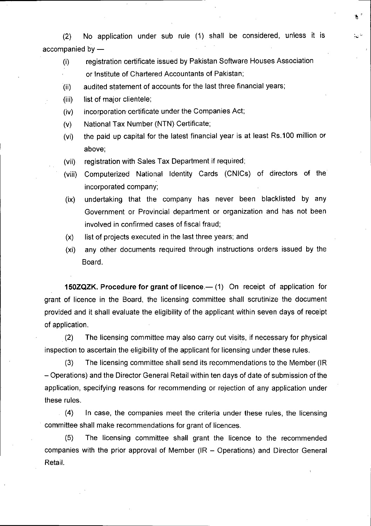(2) No application under sub rule (1) shall be considered, unless it is accompanied by —

 $\sim$   $^{\circ}$ 

- (I) registration certificate issued by Pakistan Software Houses Association or Institute of Chartered Accountants of Pakistan;
- $(iii)$ audited statement of accounts for the last three financial years;
- list of major clientele;  $(iii)$
- incorporation certificate under the Companies Act;  $(iv)$
- $(v)$ National Tax Number (NTN) Certificate;
- the paid up capital for the latest financial year is at least Rs.100 million or  $(v<sub>i</sub>)$ above;
- registration with Sales Tax Department if required;  $(vii)$
- Computerized National Identity Cards (CNICs) of directors of the  $(viii)$ incorporated company;
- undertaking that the company has never been blacklisted by any  $(ix)$ Government or Provincial department or organization and has not been involved in confirmed cases of fiscal fraud;
- $(x)$ list of projects executed in the last three years; and
- any other documents required through instructions orders issued by the  $(x<sub>i</sub>)$ Board.

**150ZQZK. Procedure for grant of licence.—** (1) On receipt of application for grant of licence in the Board, the licensing committee shall scrutinize the document provided and it shall evaluate the eligibility of the applicant within seven days of receipt of application.

The licensing committee may also carry out visits, if necessary for physical  $(2)$ inspection to ascertain the eligibility of the applicant for licensing under these rules.

 $(3)$ The licensing committee shall send its recommendations to the Member (IR — Operations) and the Director General Retail within ten days of date of submission of the application, specifying reasons for recommending or rejection of any application under these rules.

 $(4)$ In case, the companies meet the criteria under these rules, the licensing committee shall make recommendations for grant of licences.

 $(5)$ The licensing committee shall grant the licence to the recommended companies with the prior approval of Member (IR — Operations) and Director General Retail.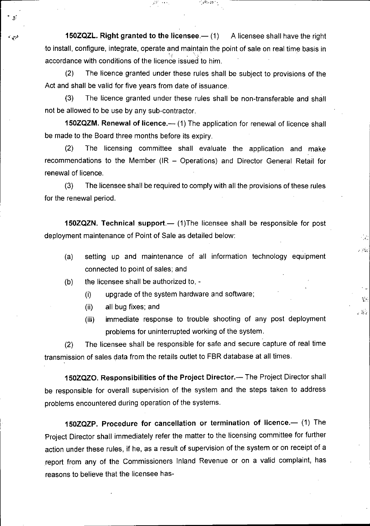**150ZQZL. Right granted to the licensee.—** (1) A licensee shall have the right to install, configure, integrate, operate and maintain the point of sale on real time basis in accordance with conditions of the licence issued to him.

 $\mathcal{A}^{\text{E}}$  and  $\mathcal{A}$ 

 $(2)$ The licence granted under these rules shall be subject to provisions of the Act and shall be valid for five years from date of issuance.

 $(3)$ The licence granted under these rules shall be non-transferable and shall not be allowed to be use by any sub-contractor.

**150ZQZM. Renewal of licence.—** (1) The application for renewal of licence shall be made to the Board three months before its expiry.

 $(2)$ The licensing committee shall evaluate the application and make recommendations to the Member (IR — Operations) and Director General Retail for renewal of licence.

 $(3)$ The licensee shall be required to comply with all the provisions of these rules for the renewal period.

**150ZQZN. Technical support.—** (1)The licensee shall be responsible for post deployment maintenance of Point of Sale as detailed below:

setting up and maintenance of all information technology equipment  $(a)$ connected to point of sales; and

 $\mathcal{L}_{\mathcal{A}}$ 

 $\sim$   $e^{\Omega_{\rm{eff}}}$ 

 $\mathcal{L}(\cdot)$ 

 $\sim 2.2$ 

- the licensee shall be authorized to,  $(b)$ 
	- $(i)$ upgrade of the system hardware and software;
	- all bug fixes; and  $(ii)$
	- immediate response to trouble shooting of any post deployment  $(iii)$ problems for uninterrupted working of the system.

(2) The licensee shall be responsible for safe and secure capture of real time transmission of sales data from the retails outlet to FBR database at all times.

**150ZQZ0. Responsibilities of the Project Director.—** The Project Director shall be responsible for overall supervision of the system and the steps taken to address problems encountered during operation of the systems.

**150ZQZP. Procedure for cancellation or termination of licence.—** (1) The Project Director shall immediately refer the matter to the licensing committee for further action under these rules, if he, as a result of supervision of the system or on receipt of a report from any of the Commissioners Inland Revenue or on a valid complaint, has reasons to believe that the licensee has-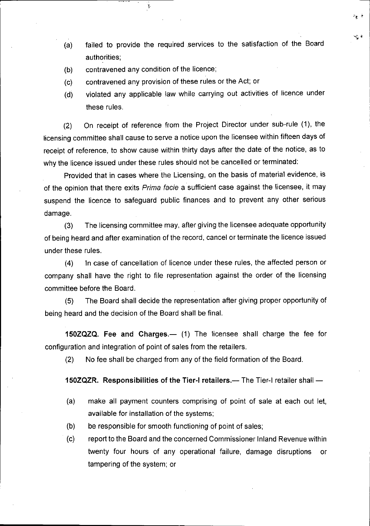- failed to provide the required services to the satisfaction of the Board  $(a)$ authorities;
- contravened any condition of the licence;  $(b)$

Ņ

- contravened any provision of these rules or the Act; or  $(c)$
- violated any applicable law while carrying out activities of licence under  $(d)$ these rules.

On receipt of reference from the Project Director under sub-rule (1), the  $(2)$ licensing committee shall cause to serve a notice upon the licensee within fifteen days of receipt of reference, to show cause within thirty days after the date of the notice, as to why the licence issued under these rules should not be cancelled or terminated:

Provided that in cases where the Licensing, on the basis of material evidence, is of the opinion that there exits Prima facie a sufficient case against the licensee, it may suspend the licence to safeguard public finances and to prevent any other serious damage.

The licensing committee may, after giving the licensee adequate opportunity  $(3)$ of being heard and after examination of the record, cancel or terminate the licence issued under these rules.

In case of cancellation of licence under these rules, the affected person or  $(4)$ company shall have the right to file representation against the order of the licensing committee before the Board.

 $(5)$ The Board shall decide the representation after giving proper opportunity of being heard and the decision of the Board shall be final.

**150ZQZQ. Fee and Charges.—** (1) The licensee shall charge the fee for configuration and integration of point of sales from the retailers.

(2) No fee shall be charged from any of the field formation of the Board.

**150ZQZR. Responsibilities of the Tier-I retailers.—** The Tier-I retailer shall —

- make all payment counters comprising of point of sale at each out let,  $(a)$ available for installation of the systems;
- $(b)$ be responsible for smooth functioning of point of sales;
- $(c)$ report to the Board and the concerned Commissioner Inland Revenue within twenty four hours of any operational failure, damage disruptions or tampering of the system; or